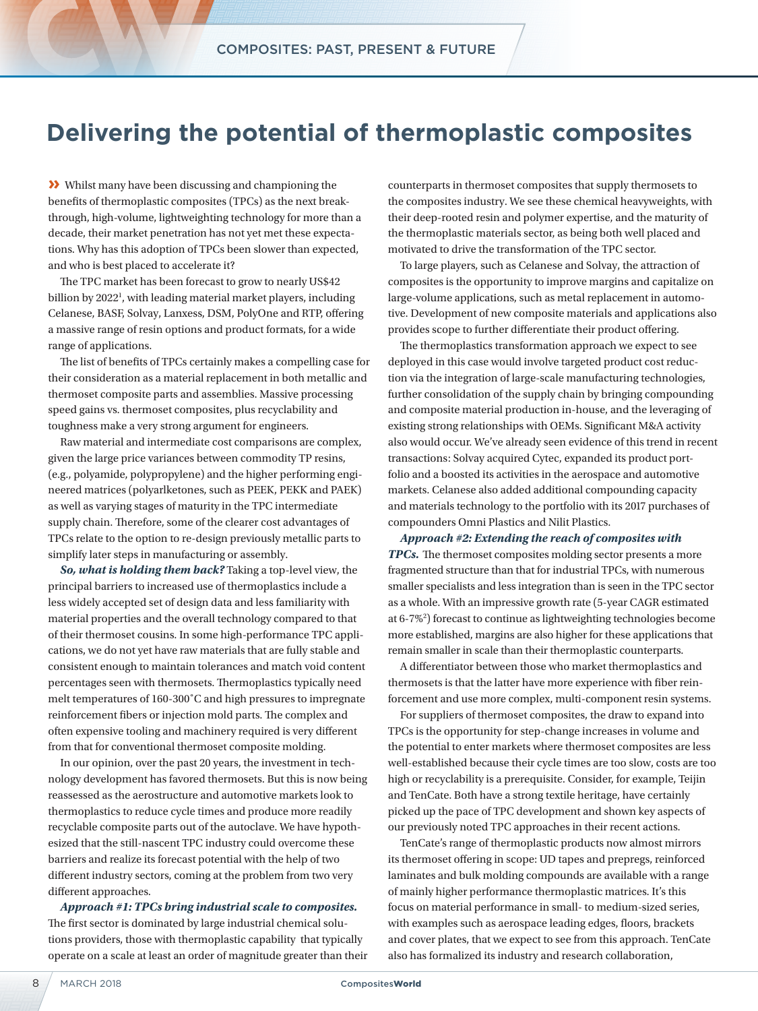## **Delivering the potential of thermoplastic composites**

**»** Whilst many have been discussing and championing the benefits of thermoplastic composites (TPCs) as the next breakthrough, high-volume, lightweighting technology for more than a decade, their market penetration has not yet met these expectations. Why has this adoption of TPCs been slower than expected, and who is best placed to accelerate it?

The TPC market has been forecast to grow to nearly US\$42 billion by 2022<sup>1</sup>, with leading material market players, including Celanese, BASF, Solvay, Lanxess, DSM, PolyOne and RTP, offering a massive range of resin options and product formats, for a wide range of applications.

The list of benefits of TPCs certainly makes a compelling case for their consideration as a material replacement in both metallic and thermoset composite parts and assemblies. Massive processing speed gains vs. thermoset composites, plus recyclability and toughness make a very strong argument for engineers.

Raw material and intermediate cost comparisons are complex, given the large price variances between commodity TP resins, (e.g., polyamide, polypropylene) and the higher performing engineered matrices (polyarlketones, such as PEEK, PEKK and PAEK) as well as varying stages of maturity in the TPC intermediate supply chain. Therefore, some of the clearer cost advantages of TPCs relate to the option to re-design previously metallic parts to simplify later steps in manufacturing or assembly.

*So, what is holding them back?* Taking a top-level view, the principal barriers to increased use of thermoplastics include a less widely accepted set of design data and less familiarity with material properties and the overall technology compared to that of their thermoset cousins. In some high-performance TPC applications, we do not yet have raw materials that are fully stable and consistent enough to maintain tolerances and match void content percentages seen with thermosets. Thermoplastics typically need melt temperatures of 160-300˚C and high pressures to impregnate reinforcement fibers or injection mold parts. The complex and often expensive tooling and machinery required is very different from that for conventional thermoset composite molding.

In our opinion, over the past 20 years, the investment in technology development has favored thermosets. But this is now being reassessed as the aerostructure and automotive markets look to thermoplastics to reduce cycle times and produce more readily recyclable composite parts out of the autoclave. We have hypothesized that the still-nascent TPC industry could overcome these barriers and realize its forecast potential with the help of two different industry sectors, coming at the problem from two very different approaches.

*Approach #1: TPCs bring industrial scale to composites.* The first sector is dominated by large industrial chemical solutions providers, those with thermoplastic capability that typically operate on a scale at least an order of magnitude greater than their

counterparts in thermoset composites that supply thermosets to the composites industry. We see these chemical heavyweights, with their deep-rooted resin and polymer expertise, and the maturity of the thermoplastic materials sector, as being both well placed and motivated to drive the transformation of the TPC sector.

To large players, such as Celanese and Solvay, the attraction of composites is the opportunity to improve margins and capitalize on large-volume applications, such as metal replacement in automotive. Development of new composite materials and applications also provides scope to further differentiate their product offering.

The thermoplastics transformation approach we expect to see deployed in this case would involve targeted product cost reduction via the integration of large-scale manufacturing technologies, further consolidation of the supply chain by bringing compounding and composite material production in-house, and the leveraging of existing strong relationships with OEMs. Significant M&A activity also would occur. We've already seen evidence of this trend in recent transactions: Solvay acquired Cytec, expanded its product portfolio and a boosted its activities in the aerospace and automotive markets. Celanese also added additional compounding capacity and materials technology to the portfolio with its 2017 purchases of compounders Omni Plastics and Nilit Plastics.

*Approach #2: Extending the reach of composites with TPCs.* The thermoset composites molding sector presents a more fragmented structure than that for industrial TPCs, with numerous smaller specialists and less integration than is seen in the TPC sector as a whole. With an impressive growth rate (5-year CAGR estimated at 6-7%<sup>2</sup>) forecast to continue as lightweighting technologies become more established, margins are also higher for these applications that remain smaller in scale than their thermoplastic counterparts.

A differentiator between those who market thermoplastics and thermosets is that the latter have more experience with fiber reinforcement and use more complex, multi-component resin systems.

For suppliers of thermoset composites, the draw to expand into TPCs is the opportunity for step-change increases in volume and the potential to enter markets where thermoset composites are less well-established because their cycle times are too slow, costs are too high or recyclability is a prerequisite. Consider, for example, Teijin and TenCate. Both have a strong textile heritage, have certainly picked up the pace of TPC development and shown key aspects of our previously noted TPC approaches in their recent actions.

TenCate's range of thermoplastic products now almost mirrors its thermoset offering in scope: UD tapes and prepregs, reinforced laminates and bulk molding compounds are available with a range of mainly higher performance thermoplastic matrices. It's this focus on material performance in small- to medium-sized series, with examples such as aerospace leading edges, floors, brackets and cover plates, that we expect to see from this approach. TenCate also has formalized its industry and research collaboration,